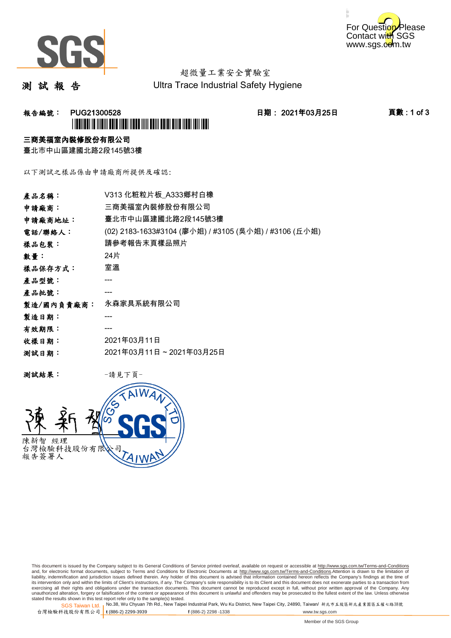



# 超微量工業安全實驗室

測 試 報 告

Ultra Trace Industrial Safety Hygiene

## 報告編號: PUG21300528 日期: 2021年03月25日 頁數 : 1 of 3 \*PUG21300528\*

### 三商美福室內裝修股份有限公司

臺北市中山區建國北路2段145號3樓

以下測試之樣品係由申請廠商所提供及確認:

| V313 化粧粒片板_A333鄉村白橡                                   |
|-------------------------------------------------------|
| 三商美福室內裝修股份有限公司                                        |
| 臺北市中山區建國北路2段145號3樓                                    |
| (02) 2183-1633#3104 (廖小姐) / #3105 (吳小姐) / #3106 (丘小姐) |
| 請參考報告末頁樣品照片                                           |
| 24片                                                   |
| 室溫                                                    |
|                                                       |
|                                                       |
| 永森家具系統有限公司                                            |
|                                                       |
|                                                       |
| 2021年03月11日                                           |
| 2021年03月11日~2021年03月25日                               |
|                                                       |

测試結果: 一請見下頁



This document is issued by the Company subject to its General Conditions of Service printed overleaf, available on request or accessible at http://www.sgs.com.tw/Terms-and-Conditions and, for electronic format documents, subject to Terms and Conditions for Electronic Documents at <u>http://www.sgs.com.tw/Terms-and-Conditions</u>.Attention is drawn to the limitation of<br>liability, indemnification and jurisdic exercising all their rights and obligations under the transaction documents. This document cannot be reproduced except in full, without prior written approval of the Company. Any<br>unauthorized alteration, forgery or falsifi

SGS Taiwan Ltd. 1 stated the results shown in this test report refer only to the sample(s) tested.<br>Stated the results shown in this test report refer only to the sample(s) tested.

台灣檢驗科技股份有限公司

**t** (886-2) 2299-3939 **f** (886-2) 2298 -1338 www.tw.sgs.com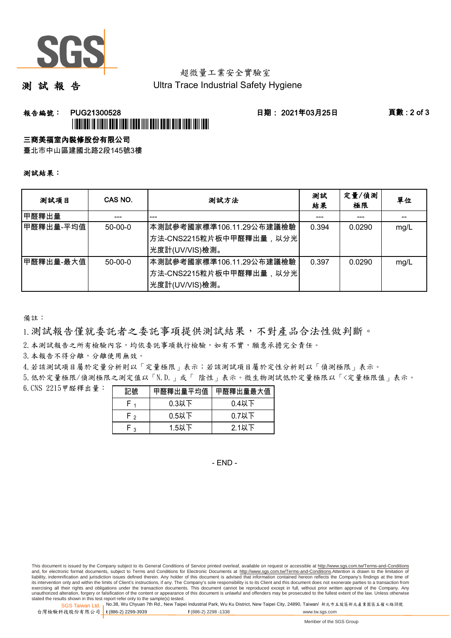

# 超微量工業安全實驗室

測 試 報 告

Ultra Trace Industrial Safety Hygiene

## 報告編號: PUG21300528 日期: 2021年03月25日 頁數 : 2 of 3 \*PUGE AND AN ANDER HELD AND A MORE AND DELIVERED AND A CONTINUES.

#### 三商美福室內裝修股份有限公司

臺北市中山區建國北路2段145號3樓

#### 測試結果:

| 测試項目      | CAS NO.       | 測試方法                                                                                 | 測試<br>結果 | 定量/偵測<br>極限 | 單位   |
|-----------|---------------|--------------------------------------------------------------------------------------|----------|-------------|------|
| 甲醛釋出量     |               |                                                                                      |          |             |      |
| 甲醛釋出量-平均值 | $50 - 00 - 0$ | 本測試參考國家標準106.11.29公布建議檢驗<br>│方法-CNS2215粒片板中甲醛釋出量,以分光│<br>光度計(UV/VIS)檢測。              | 0.394    | 0.0290      | mg/L |
| 甲醛釋出量-最大值 | $50 - 00 - 0$ | ┃本測試參考國家標準106.11.29公布建議檢驗<br><sup> </sup> 方法-CNS2215粒片板中甲醛釋出量,以分光 <br>光度計(UV/VIS)檢測。 | 0.397    | 0.0290      | mg/L |

備註:

1.測試報告僅就委託者之委託事項提供測試結果,不對產品合法性做判斷。

2.本測試報告之所有檢驗內容,均依委託事項執行檢驗,如有不實,願意承擔完全責任。

3. 本報告不得分離,分離使用無效。

4.若該測試項目屬於定量分析則以「定量極限」表示;若該測試項目屬於定性分析則以「偵測極限」表示。

5.低於定量極限/偵測極限之測定值以「N.D.」或「 陰性」表示。微生物測試低於定量極限以「<定量極限值」表示。

6. CNS 2215甲醛釋出量: ====

| 記號  |          | 甲醛釋出量平均值 甲醛釋出量最大值 |
|-----|----------|-------------------|
|     | $0.3$ 以下 | $0.4$ 以下          |
| г о | $0.5$ 以下 | $0.7$ 以下          |
| ◠   | $1.5$ 以下 | 2.1以下             |

 $-$  FND $-$ 

This document is issued by the Company subject to its General Conditions of Service printed overleaf, available on request or accessible at http://www.sgs.com.tw/Terms-and-Conditions and, for electronic format documents, subject to Terms and Conditions for Electronic Documents at http://www.sgs.com.tw/Terms-and-Conditions.Attention is drawn to the limitation of liability, indemnification and jurisdiction issues defined therein. Any holder of this document is advised that information contained hereon reflects the Company's findings at the time of<br>its intervention only and within t exercising all their rights and obligations under the transaction documents. This document cannot be reproduced except in full, without prior written approval of the Company. Any<br>unauthorized alteration, forgery or falsifi

SGS Taiwan Ltd. 1 stated the results shown in this test report refer only to the sample(s) tested.<br>Stated the results shown in this test report refer only to the sample(s) tested.

台灣檢驗科技股份有限公司

**t** (886-2) 2299-3939 **f** (886-2) 2298 -1338 www.tw.sgs.com